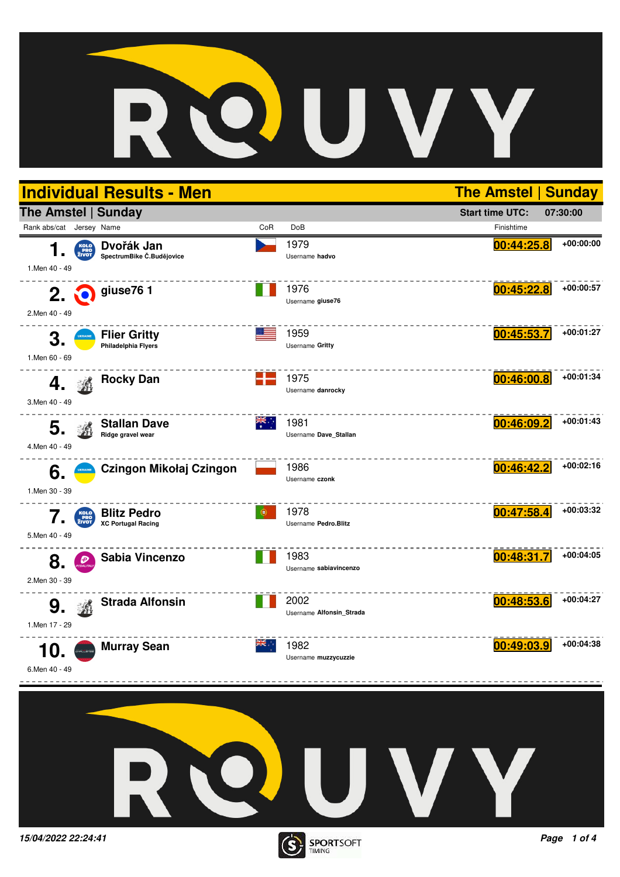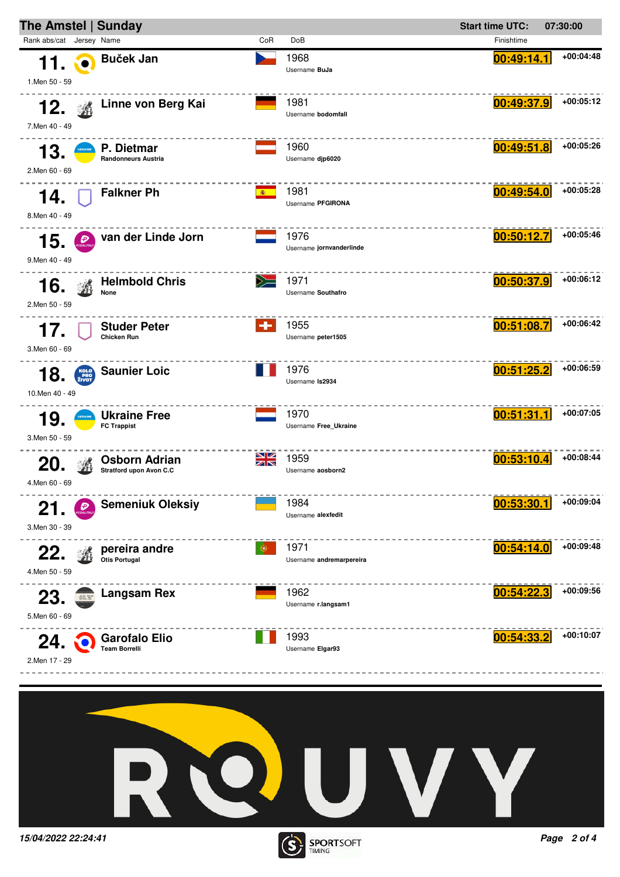



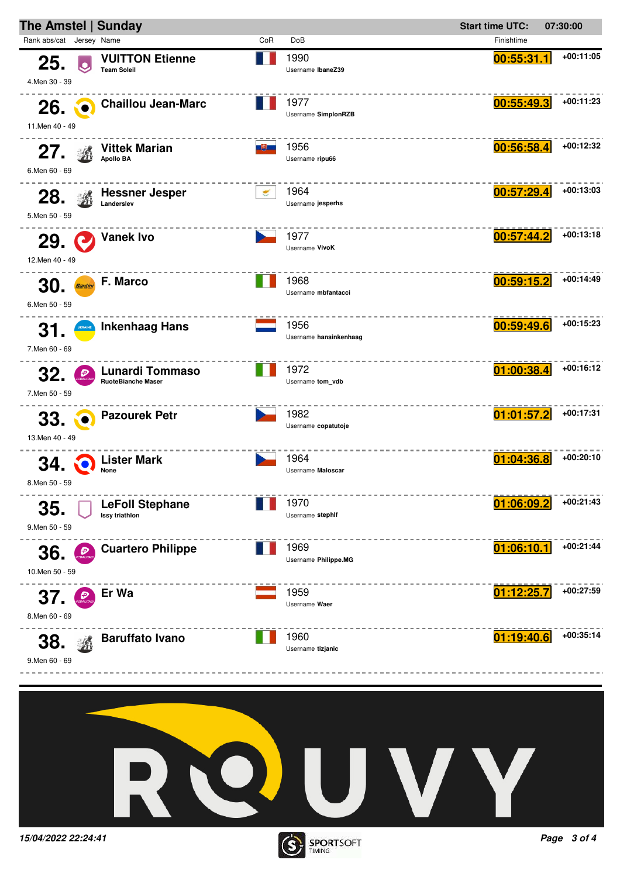